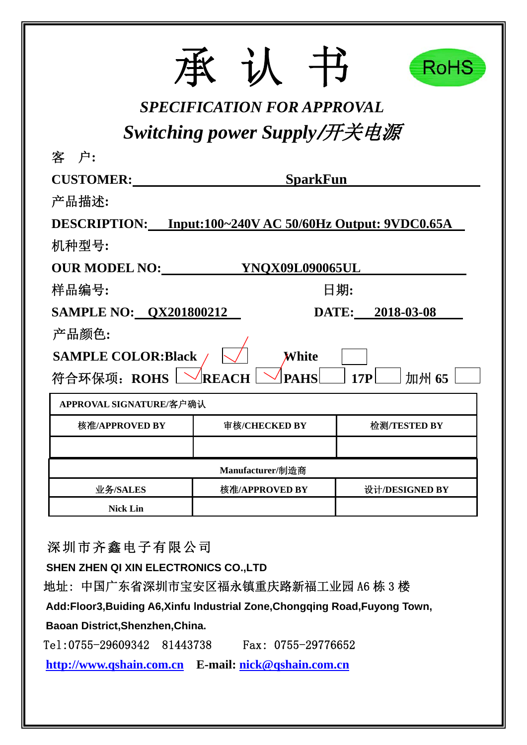|                                                          |                                   | RoHS             |
|----------------------------------------------------------|-----------------------------------|------------------|
|                                                          | <b>SPECIFICATION FOR APPROVAL</b> |                  |
|                                                          | Switching power Supply/开关电源       |                  |
| 客 户:                                                     |                                   |                  |
| <b>CUSTOMER:</b>                                         | <b>SparkFun</b>                   |                  |
| 产品描述:                                                    |                                   |                  |
| DESCRIPTION: Input:100~240V AC 50/60Hz Output: 9VDC0.65A |                                   |                  |
| 机种型号:                                                    |                                   |                  |
| <b>OUR MODEL NO:</b>                                     | YNQX09L090065UL                   |                  |
| 样品编号:                                                    |                                   | 日期:              |
| <b>SAMPLE NO: QX201800212</b>                            |                                   | DATE: 2018-03-08 |
| 产品颜色:                                                    |                                   |                  |
| <b>SAMPLE COLOR:Black</b>                                | White                             |                  |
| 符合环保项: ROHS                                              | <b>PAHS</b><br>RF                 | 加州 65<br>17P     |
| APPROVAL SIGNATURE/客户确认                                  |                                   |                  |
| 核准/APPROVED BY                                           | 审核/CHECKED BY                     | 检测/TESTED BY     |
|                                                          |                                   |                  |
|                                                          | Manufacturer/制造商                  |                  |
| 业务/SALES                                                 | 核准/APPROVED BY                    | 设计/DESIGNED BY   |
| <b>Nick Lin</b>                                          |                                   |                  |

深圳市齐鑫电子有限公司

**SHEN ZHEN QI XIN ELECTRONICS CO.,LTD** 

地址: 中国广东省深圳市宝安区福永镇重庆路新福工业园 A6 栋 3 楼

**Add:Floor3,Buiding A6,Xinfu lndustrial Zone,Chongqing Road,Fuyong Town,** 

**Baoan District,Shenzhen,China.** 

Tel:0755-29609342 81443738 Fax: 0755-29776652

**http://www.qshain.com.cn E-mail: nick@qshain.com.cn**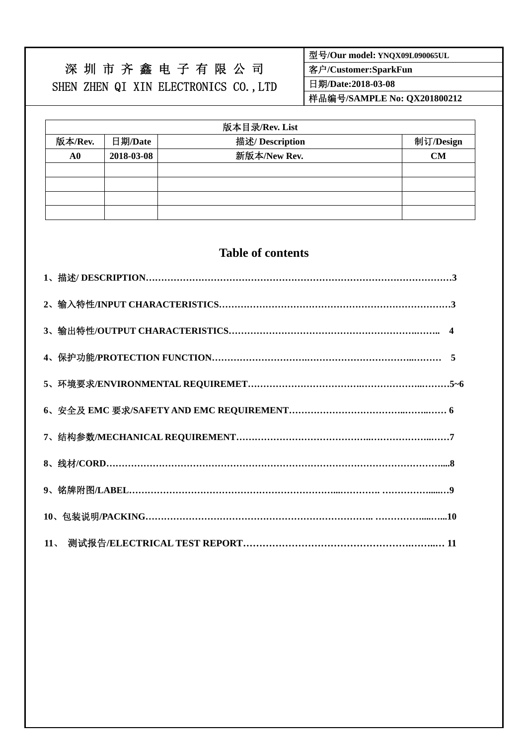# 深 圳 市 齐 鑫 电 子 有 限 公 司 SHEN ZHEN QI XIN ELECTRONICS CO.,LTD

型号**/Our model: YNQX09L090065UL** 

客户**/Customer:SparkFun** 

日期**/Date:2018-03-08** 

样品编号**/SAMPLE No: QX201800212** 

|         | 版本目录/Rev. List |                 |           |  |  |  |  |
|---------|----------------|-----------------|-----------|--|--|--|--|
| 版本/Rev. | 日期/Date        | 描述/ Description | 制订/Design |  |  |  |  |
| A0      | 2018-03-08     | 新版本/New Rev.    | CM        |  |  |  |  |
|         |                |                 |           |  |  |  |  |
|         |                |                 |           |  |  |  |  |
|         |                |                 |           |  |  |  |  |
|         |                |                 |           |  |  |  |  |

## **Table of contents**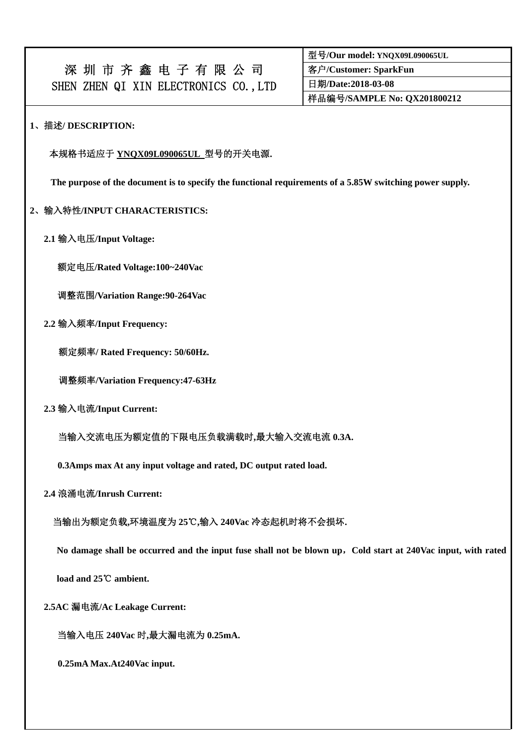|                                       | 深圳市齐鑫电子有限公司 |  |  |  |  |
|---------------------------------------|-------------|--|--|--|--|
| SHEN ZHEN QI XIN ELECTRONICS CO., LTD |             |  |  |  |  |

| 型号/Our model: YNQX09L090065UL |
|-------------------------------|
| 客户/Customer: SparkFun         |
| 日期/Date:2018-03-08            |
| 样品编号/SAMPLE No: QX201800212   |

## **1**、描述**/ DESCRIPTION:**

#### 本规格书适应于 **YNQX09L090065UL** 型号的开关电源**.**

**The purpose of the document is to specify the functional requirements of a 5.85W switching power supply.** 

#### **2**、输入特性**/INPUT CHARACTERISTICS:**

 **2.1** 输入电压**/Input Voltage:** 

额定电压**/Rated Voltage:100~240Vac** 

调整范围**/Variation Range:90-264Vac** 

 **2.2** 输入频率**/Input Frequency:** 

额定频率**/ Rated Frequency: 50/60Hz.** 

调整频率**/Variation Frequency:47-63Hz** 

 **2.3** 输入电流**/Input Current:** 

当输入交流电压为额定值的下限电压负载满载时**,**最大输入交流电流 **0.3A.** 

**0.3Amps max At any input voltage and rated, DC output rated load.** 

 **2.4** 浪涌电流**/Inrush Current:** 

当输出为额定负载**,**环境温度为 **25**℃**,**输入 **240Vac** 冷态起机时将不会损坏**.** 

**No damage shall be occurred and the input fuse shall not be blown up**,**Cold start at 240Vac input, with rated** 

**load and 25℃ ambient.** 

 **2.5AC** 漏电流**/Ac Leakage Current:** 

当输入电压 **240Vac** 时**,**最大漏电流为 **0.25mA.** 

**0.25mA Max.At240Vac input.**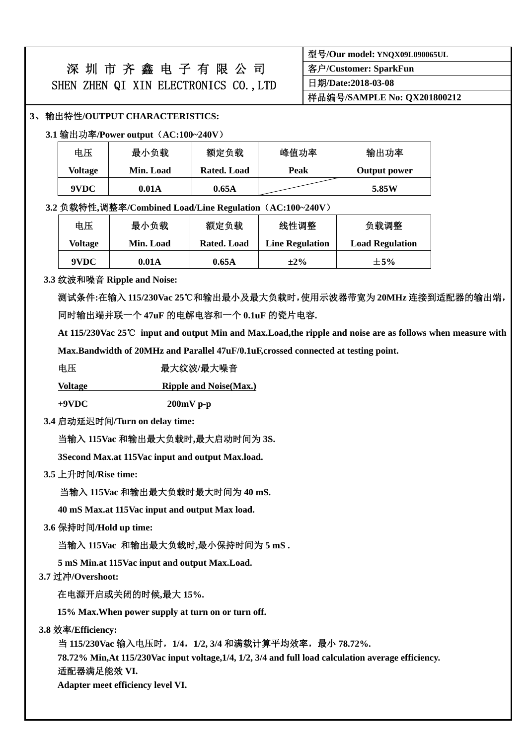|                                       |  | 深圳市齐鑫电子有限公司 |  |  |  |  |
|---------------------------------------|--|-------------|--|--|--|--|
| SHEN ZHEN QI XIN ELECTRONICS CO., LTD |  |             |  |  |  |  |

| 型号/Our model: YNQX09L090065UL |
|-------------------------------|
| 客户/Customer: SparkFun         |
| 日期/Date:2018-03-08            |
| 样品编号/SAMPLE No: QX201800212   |

#### **3**、输出特性**/OUTPUT CHARACTERISTICS:**

**3.1** 输出功率**/Power output**(**AC:100~240V**)

| 电压      | 最小负载      | 额定负载        | 峰值功率 | 输出功率         |
|---------|-----------|-------------|------|--------------|
| Voltage | Min. Load | Rated. Load | Peak | Output power |
| 9VDC    | 0.01A     | 0.65A       |      | 5.85W        |

#### **3.2** 负载特性**,**调整率**/Combined Load/Line Regulation**(**AC:100~240V**)

| 电压      | 最小负载      | 额定负载        | 线性调整                   | 负载调整                   |
|---------|-----------|-------------|------------------------|------------------------|
| Voltage | Min. Load | Rated. Load | <b>Line Regulation</b> | <b>Load Regulation</b> |
| 9VDC    | 0.01A     | 0.65A       | $\pm 2\%$              | $+5%$                  |

#### **3.3** 纹波和噪音 **Ripple and Noise:**

测试条件**:**在输入 **115/230Vac 25**℃和输出最小及最大负载时,使用示波器带宽为 **20MHz** 连接到适配器的输出端, 同时输出端并联一个 **47uF** 的电解电容和一个 **0.1uF** 的瓷片电容**.** 

 **At 115/230Vac 25**℃ **input and output Min and Max.Load,the ripple and noise are as follows when measure with Max.Bandwidth of 20MHz and Parallel 47uF/0.1uF,crossed connected at testing point.** 

#### 电压<br>**电压** 最大纹波/最大噪音

**Voltage Ripple and Noise(Max.)**

**+9VDC 200mV p-p** 

**3.4** 启动延迟时间**/Turn on delay time:** 

当输入 **115Vac** 和输出最大负载时**,**最大启动时间为 **3S.** 

 **3Second Max.at 115Vac input and output Max.load.** 

**3.5** 上升时间**/Rise time:** 

当输入 **115Vac** 和输出最大负载时最大时间为 **40 mS.** 

 **40 mS Max.at 115Vac input and output Max load.** 

**3.6** 保持时间**/Hold up time:** 

当输入 **115Vac** 和输出最大负载时**,**最小保持时间为 **5 mS .** 

 **5 mS Min.at 115Vac input and output Max.Load.** 

**3.7** 过冲**/Overshoot:** 

在电源开启或关闭的时候**,**最大 **15%.** 

**15% Max.When power supply at turn on or turn off.** 

**3.8** 效率**/Efficiency:** 

当 **115/230Vac** 输入电压时,**1/4**,**1/2, 3/4** 和满载计算平均效率,最小 **78.72%.** 

 **78.72% Min,At 115/230Vac input voltage,1/4, 1/2, 3/4 and full load calculation average efficiency.** 适配器满足能效 **VI.** 

 **Adapter meet efficiency level VI.**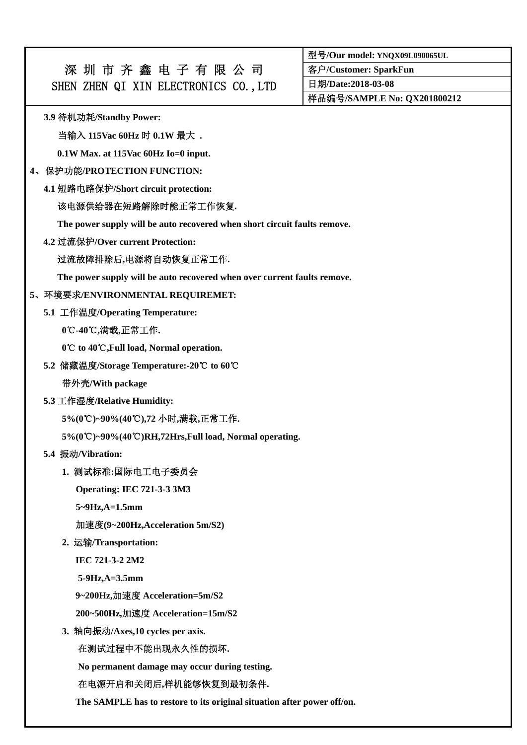## 深 圳 市 齐 鑫 电 子 有 限 公 司 SHEN ZHEN QI XIN ELECTRONICS CO., LTD

型号**/Our model: YNQX09L090065UL** 

客户**/Customer: SparkFun** 

日期**/Date:2018-03-08** 

样品编号**/SAMPLE No: QX201800212** 

**3.9** 待机功耗**/Standby Power:** 

当输入 **115Vac 60Hz** 时 **0.1W** 最大 **.** 

**0.1W Max. at 115Vac 60Hz Io=0 input.** 

### **4**、保护功能**/PROTECTION FUNCTION:**

**4.1** 短路电路保护**/Short circuit protection:** 

## 该电源供给器在短路解除时能正常工作恢复**.**

**The power supply will be auto recovered when short circuit faults remove.** 

**4.2** 过流保护**/Over current Protection:** 

## 过流故障排除后**,**电源将自动恢复正常工作**.**

**The power supply will be auto recovered when over current faults remove.** 

## **5**、环境要求**/ENVIRONMENTAL REQUIREMET:**

**5.1** 工作温度**/Operating Temperature:** 

**0**℃**-40 ,** ℃ 满载**,**正常工作**.** 

0°C to 40°C, Full load, Normal operation.

**5.2** 储藏温度**/Storage Temperature:-20 to** ℃ **60**℃

带外壳**/With package** 

**5.3** 工作湿度**/Relative Humidity:** 

**5%(0 )~90%(40 )** ℃ ℃ **,72** 小时**,**满载**,**正常工作**.** 

5%(0°C)~90%(40°C)RH,72Hrs,Full load, Normal operating.

**5.4** 振动**/Vibration:** 

## **1.** 测试标准**:**国际电工电子委员会

**Operating: IEC 721-3-3 3M3** 

**5~9Hz,A=1.5mm** 

加速度**(9~200Hz,Acceleration 5m/S2)** 

**2.** 运输**/Transportation:** 

**IEC 721-3-2 2M2** 

**5-9Hz,A=3.5mm** 

**9~200Hz,**加速度 **Acceleration=5m/S2** 

**200~500Hz,**加速度 **Acceleration=15m/S2** 

**3.** 轴向振动**/Axes,10 cycles per axis.** 

在测试过程中不能出现永久性的损坏**.** 

**No permanent damage may occur during testing.** 

## 在电源开启和关闭后**,**样机能够恢复到最初条件**.**

**The SAMPLE has to restore to its original situation after power off/on.**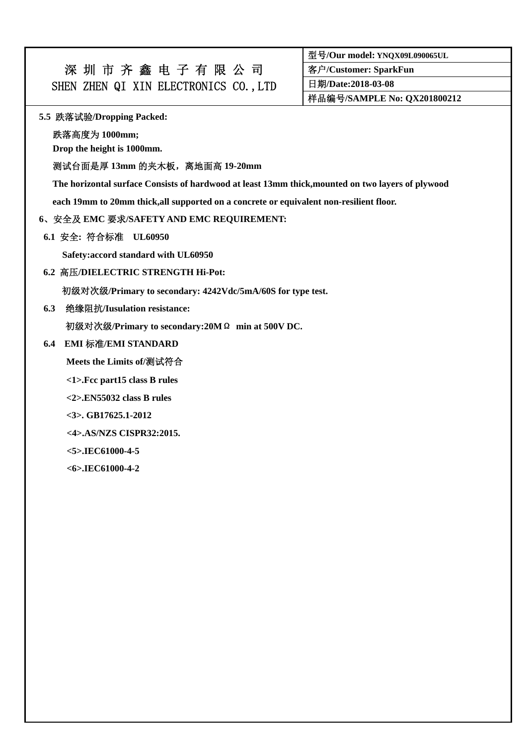| 深圳市齐鑫电子有限公司                           |  |  |  |  |
|---------------------------------------|--|--|--|--|
| SHEN ZHEN QI XIN ELECTRONICS CO., LTD |  |  |  |  |

型号**/Our model: YNQX09L090065UL** 

客户**/Customer: SparkFun** 

日期**/Date:2018-03-08** 

样品编号**/SAMPLE No: QX201800212** 

#### **5.5** 跌落试验**/Dropping Packed:**

跌落高度为 **1000mm;** 

**Drop the height is 1000mm.** 

#### 测试台面是厚 **13mm** 的夹木板,离地面高 **19-20mm**

**The horizontal surface Consists of hardwood at least 13mm thick,mounted on two layers of plywood** 

**each 19mm to 20mm thick,all supported on a concrete or equivalent non-resilient floor.** 

#### **6**、安全及 **EMC** 要求**/SAFETY AND EMC REQUIREMENT:**

**6.1** 安全**:** 符合标准 **UL60950** 

 **Safety:accord standard with UL60950** 

**6.2** 高压**/DIELECTRIC STRENGTH Hi-Pot:** 

初级对次级**/Primary to secondary: 4242Vdc/5mA/60S for type test.** 

**6.3** 绝缘阻抗**/Iusulation resistance:** 

初级对次级**/Primary to secondary:20M**Ω **min at 500V DC.** 

### **6.4 EMI** 标准**/EMI STANDARD**

**Meets the Limits of/**测试符合

**<1>.Fcc part15 class B rules** 

**<2>.EN55032 class B rules** 

**<3>. GB17625.1-2012** 

 **<4>.AS/NZS CISPR32:2015.** 

**<5>.IEC61000-4-5** 

**<6>.IEC61000-4-2**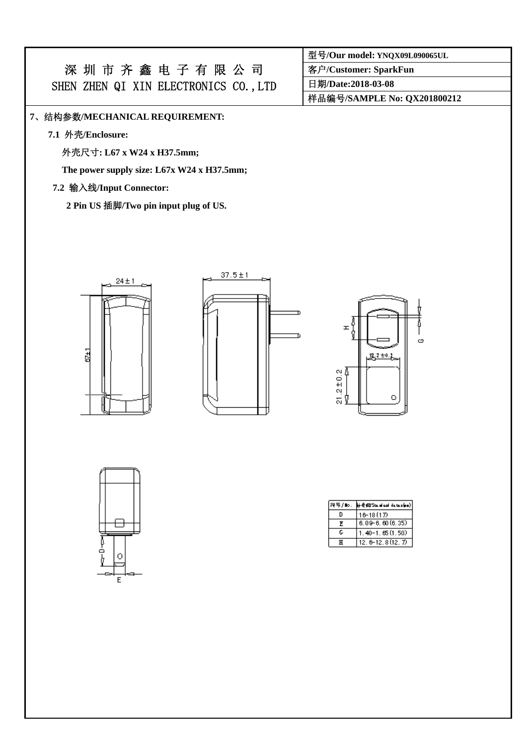# 深 圳 市 齐 鑫 电 子 有 限 公 司 SHEN ZHEN QI XIN ELECTRONICS CO., LTD

#### **7**、结构参数**/MECHANICAL REQUIREMENT:**

**7.1** 外壳**/Enclosure:** 

外壳尺寸**: L67 x W24 x H37.5mm;** 

**The power supply size: L67x W24 x H37.5mm;** 

#### **7.2** 输入线**/Input Connector:**

**2 Pin US** 插脚**/Two pin input plug of US.** 





| H<br>ģ              |           | ය |
|---------------------|-----------|---|
| Δ                   | $2\pm0.2$ |   |
| $21.2 \pm 0.2$<br>ŷ | ٥         |   |
|                     | -2        |   |



| 符号/110. | կի ∰ £1/5 եւավ ատվ վալ եւ եւար <mark>կա</mark> վ |
|---------|--------------------------------------------------|
| n       | 16-18 (17)                                       |
| F       | $6.09 - 6.60(6.35)$                              |
| ٢       | $1.40 - 1.65(1.50)$                              |
| ਸ       | $12.6 - 12.8(12.7)$                              |

客户**/Customer: SparkFun** 

日期**/Date:2018-03-08** 

样品编号**/SAMPLE No: QX201800212**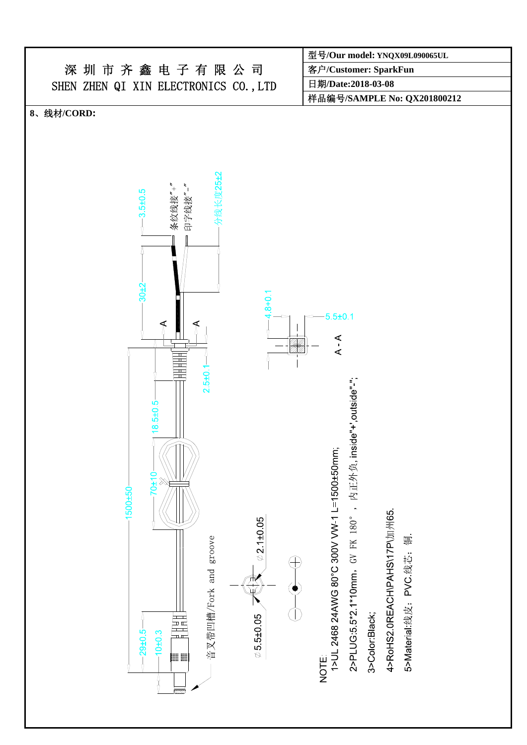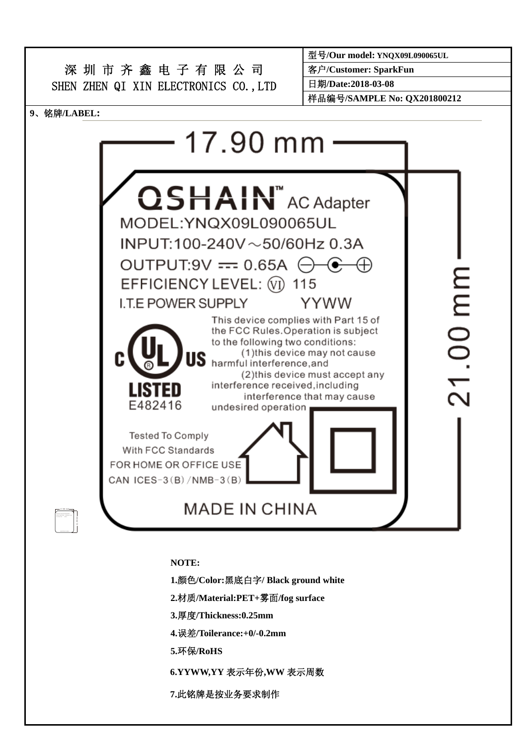

**NOTE:** 

**1.**颜色**/Color:**黑底白字**/ Black ground white** 

**2.**材质**/Material:PET+**雾面**/fog surface** 

**3.**厚度**/Thickness:0.25mm** 

**4.**误差**/Toilerance:+0/-0.2mm** 

**5.**环保**/RoHS** 

**6.YYWW,YY** 表示年份**,WW** 表示周数

**7.**此铭牌是按业务要求制作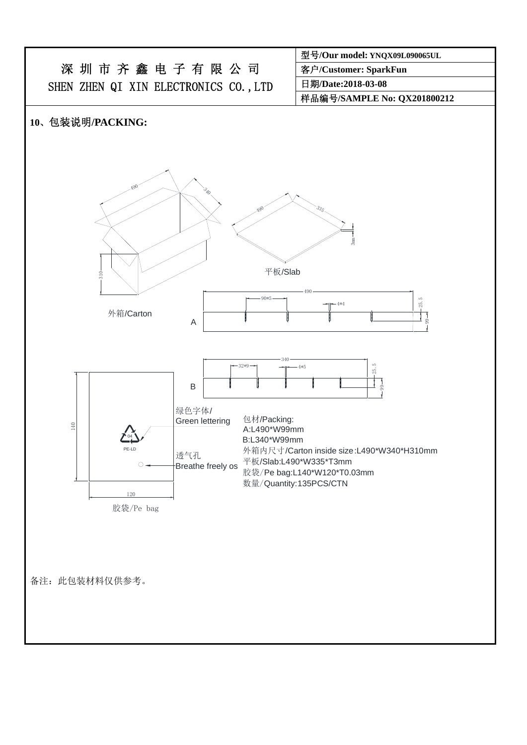